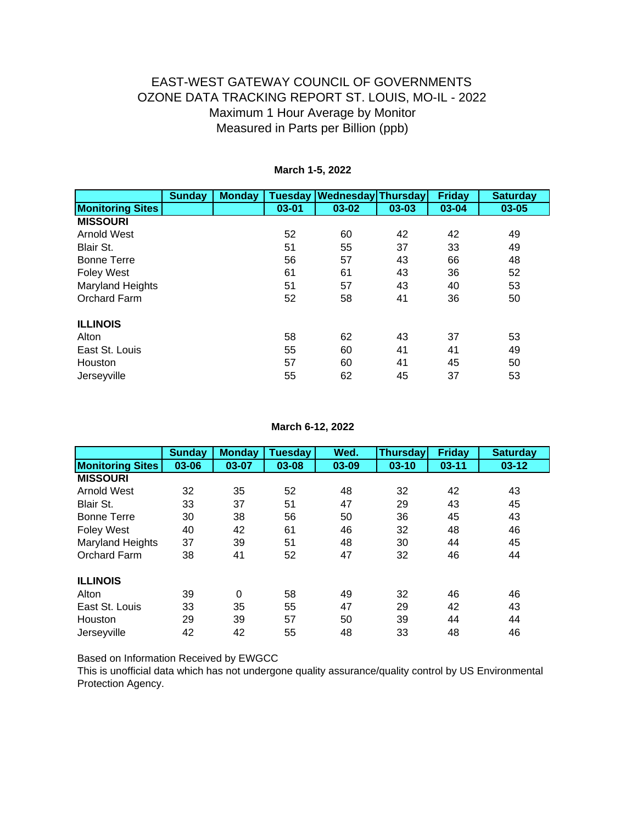|                         | <b>Sunday</b> | <b>Monday</b> | <b>Tuesday</b> | <b>Wednesday Thursday</b> |       | <b>Friday</b> | <b>Saturday</b> |
|-------------------------|---------------|---------------|----------------|---------------------------|-------|---------------|-----------------|
| <b>Monitoring Sites</b> |               |               | $03 - 01$      | $03 - 02$                 | 03-03 | 03-04         | $03 - 05$       |
| <b>MISSOURI</b>         |               |               |                |                           |       |               |                 |
| <b>Arnold West</b>      |               |               | 52             | 60                        | 42    | 42            | 49              |
| Blair St.               |               |               | 51             | 55                        | 37    | 33            | 49              |
| <b>Bonne Terre</b>      |               |               | 56             | 57                        | 43    | 66            | 48              |
| <b>Foley West</b>       |               |               | 61             | 61                        | 43    | 36            | 52              |
| <b>Maryland Heights</b> |               |               | 51             | 57                        | 43    | 40            | 53              |
| Orchard Farm            |               |               | 52             | 58                        | 41    | 36            | 50              |
| <b>ILLINOIS</b>         |               |               |                |                           |       |               |                 |
| Alton                   |               |               | 58             | 62                        | 43    | 37            | 53              |
| East St. Louis          |               |               | 55             | 60                        | 41    | 41            | 49              |
| Houston                 |               |               | 57             | 60                        | 41    | 45            | 50              |
| Jerseyville             |               |               | 55             | 62                        | 45    | 37            | 53              |

#### **March 1-5, 2022**

**March 6-12, 2022**

|                         | <b>Sunday</b> | <b>Monday</b> | <b>Tuesday</b> | Wed.  | <b>Thursday</b> | <b>Friday</b> | <b>Saturday</b> |
|-------------------------|---------------|---------------|----------------|-------|-----------------|---------------|-----------------|
| <b>Monitoring Sites</b> | 03-06         | 03-07         | 03-08          | 03-09 | $03 - 10$       | $03 - 11$     | $03 - 12$       |
| <b>MISSOURI</b>         |               |               |                |       |                 |               |                 |
| <b>Arnold West</b>      | 32            | 35            | 52             | 48    | 32              | 42            | 43              |
| Blair St.               | 33            | 37            | 51             | 47    | 29              | 43            | 45              |
| <b>Bonne Terre</b>      | 30            | 38            | 56             | 50    | 36              | 45            | 43              |
| <b>Foley West</b>       | 40            | 42            | 61             | 46    | 32              | 48            | 46              |
| <b>Maryland Heights</b> | 37            | 39            | 51             | 48    | 30              | 44            | 45              |
| Orchard Farm            | 38            | 41            | 52             | 47    | 32              | 46            | 44              |
| <b>ILLINOIS</b>         |               |               |                |       |                 |               |                 |
| Alton                   | 39            | 0             | 58             | 49    | 32              | 46            | 46              |
| East St. Louis          | 33            | 35            | 55             | 47    | 29              | 42            | 43              |
| Houston                 | 29            | 39            | 57             | 50    | 39              | 44            | 44              |
| Jerseyville             | 42            | 42            | 55             | 48    | 33              | 48            | 46              |

Based on Information Received by EWGCC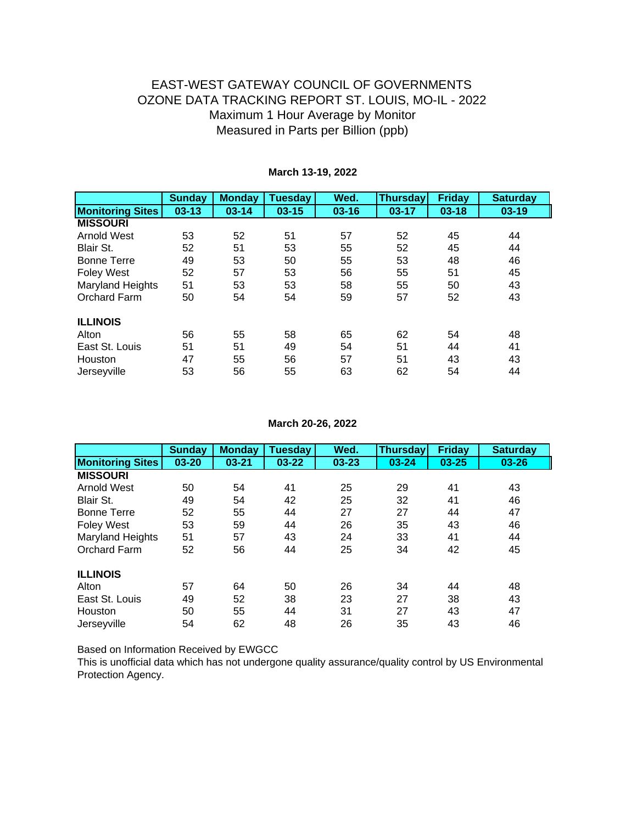|                         | <b>Sunday</b> | <b>Monday</b> | <b>Tuesday</b> | Wed.      | <b>Thursday</b> | <b>Friday</b> | <b>Saturday</b> |
|-------------------------|---------------|---------------|----------------|-----------|-----------------|---------------|-----------------|
| <b>Monitoring Sites</b> | $03 - 13$     | $03 - 14$     | $03 - 15$      | $03 - 16$ | $03 - 17$       | $03 - 18$     | $03-19$         |
| <b>MISSOURI</b>         |               |               |                |           |                 |               |                 |
| <b>Arnold West</b>      | 53            | 52            | 51             | 57        | 52              | 45            | 44              |
| Blair St.               | 52            | 51            | 53             | 55        | 52              | 45            | 44              |
| <b>Bonne Terre</b>      | 49            | 53            | 50             | 55        | 53              | 48            | 46              |
| <b>Foley West</b>       | 52            | 57            | 53             | 56        | 55              | 51            | 45              |
| Maryland Heights        | 51            | 53            | 53             | 58        | 55              | 50            | 43              |
| Orchard Farm            | 50            | 54            | 54             | 59        | 57              | 52            | 43              |
| <b>ILLINOIS</b>         |               |               |                |           |                 |               |                 |
| Alton                   | 56            | 55            | 58             | 65        | 62              | 54            | 48              |
| East St. Louis          | 51            | 51            | 49             | 54        | 51              | 44            | 41              |
| Houston                 | 47            | 55            | 56             | 57        | 51              | 43            | 43              |
| Jerseyville             | 53            | 56            | 55             | 63        | 62              | 54            | 44              |

#### **March 13-19, 2022**

**March 20-26, 2022**

|                         | <b>Sunday</b> | <b>Monday</b> | <b>Tuesday</b> | Wed.      | <b>Thursday</b> | <b>Friday</b> | <b>Saturday</b> |
|-------------------------|---------------|---------------|----------------|-----------|-----------------|---------------|-----------------|
| <b>Monitoring Sites</b> | 03-20         | $03 - 21$     | $03 - 22$      | $03 - 23$ | $03 - 24$       | $03 - 25$     | $03 - 26$       |
| <b>MISSOURI</b>         |               |               |                |           |                 |               |                 |
| <b>Arnold West</b>      | 50            | 54            | 41             | 25        | 29              | 41            | 43              |
| Blair St.               | 49            | 54            | 42             | 25        | 32              | 41            | 46              |
| <b>Bonne Terre</b>      | 52            | 55            | 44             | 27        | 27              | 44            | 47              |
| <b>Foley West</b>       | 53            | 59            | 44             | 26        | 35              | 43            | 46              |
| <b>Maryland Heights</b> | 51            | 57            | 43             | 24        | 33              | 41            | 44              |
| Orchard Farm            | 52            | 56            | 44             | 25        | 34              | 42            | 45              |
| <b>ILLINOIS</b>         |               |               |                |           |                 |               |                 |
| Alton                   | 57            | 64            | 50             | 26        | 34              | 44            | 48              |
| East St. Louis          | 49            | 52            | 38             | 23        | 27              | 38            | 43              |
| Houston                 | 50            | 55            | 44             | 31        | 27              | 43            | 47              |
| Jerseyville             | 54            | 62            | 48             | 26        | 35              | 43            | 46              |

Based on Information Received by EWGCC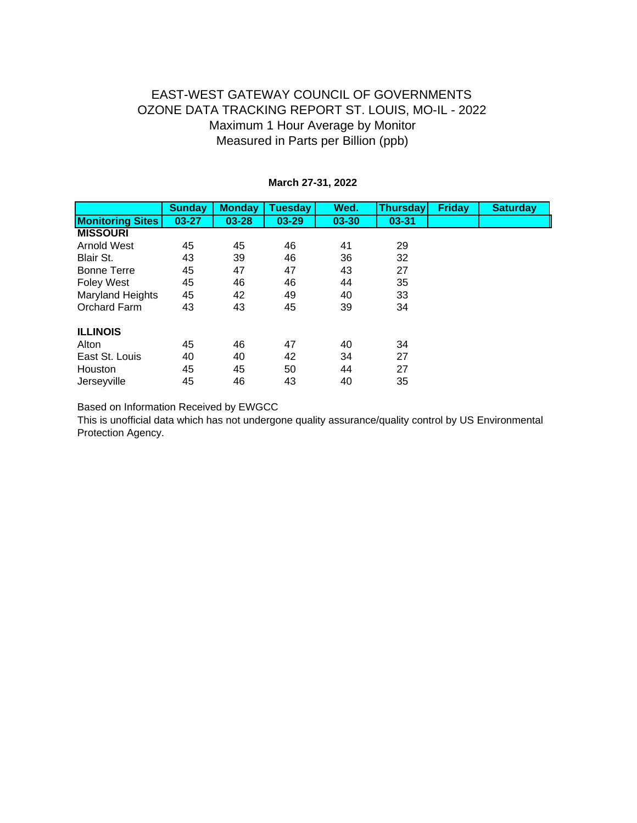|                         | <b>Sunday</b> | <b>Monday</b> | <b>Tuesday</b> | Wed.      | <b>Thursday</b> | <b>Friday</b> | <b>Saturday</b> |
|-------------------------|---------------|---------------|----------------|-----------|-----------------|---------------|-----------------|
| <b>Monitoring Sites</b> | $03 - 27$     | $03 - 28$     | $03 - 29$      | $03 - 30$ | $03 - 31$       |               |                 |
| <b>MISSOURI</b>         |               |               |                |           |                 |               |                 |
| <b>Arnold West</b>      | 45            | 45            | 46             | 41        | 29              |               |                 |
| Blair St.               | 43            | 39            | 46             | 36        | 32              |               |                 |
| <b>Bonne Terre</b>      | 45            | 47            | 47             | 43        | 27              |               |                 |
| <b>Foley West</b>       | 45            | 46            | 46             | 44        | 35              |               |                 |
| <b>Maryland Heights</b> | 45            | 42            | 49             | 40        | 33              |               |                 |
| Orchard Farm            | 43            | 43            | 45             | 39        | 34              |               |                 |
| <b>ILLINOIS</b>         |               |               |                |           |                 |               |                 |
| Alton                   | 45            | 46            | 47             | 40        | 34              |               |                 |
| East St. Louis          | 40            | 40            | 42             | 34        | 27              |               |                 |
| Houston                 | 45            | 45            | 50             | 44        | 27              |               |                 |
| Jerseyville             | 45            | 46            | 43             | 40        | 35              |               |                 |

#### **March 27-31, 2022**

Based on Information Received by EWGCC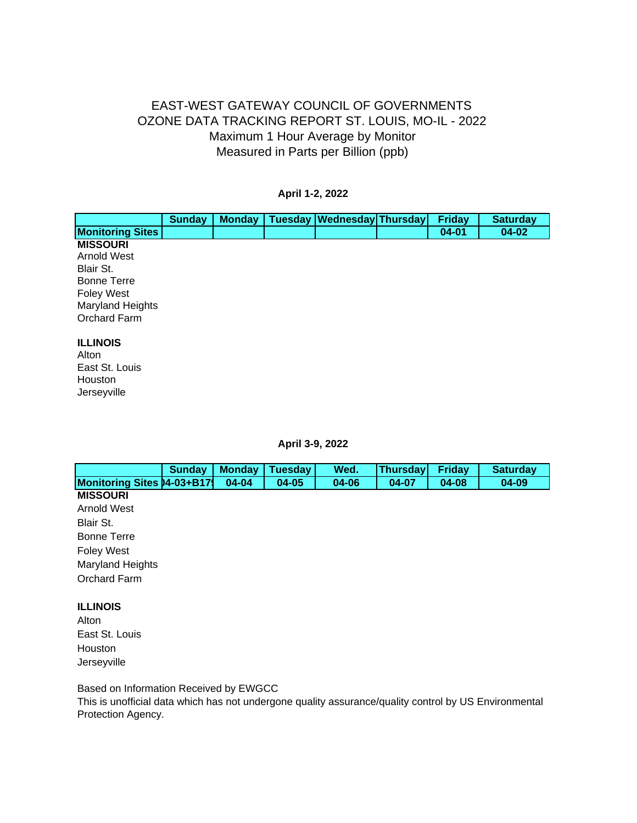#### **April 1-2, 2022**

|                                                                                                                                                 | <b>Sunday</b> | <b>Monday</b> | Tuesday   Wednesday   Thursday | <b>Friday</b> | <b>Saturday</b> |
|-------------------------------------------------------------------------------------------------------------------------------------------------|---------------|---------------|--------------------------------|---------------|-----------------|
| <b>Monitoring Sites</b>                                                                                                                         |               |               |                                | $04 - 01$     | $04 - 02$       |
| <b>MISSOURI</b><br><b>Arnold West</b><br>Blair St.<br><b>Bonne Terre</b><br><b>Foley West</b><br><b>Maryland Heights</b><br><b>Orchard Farm</b> |               |               |                                |               |                 |
| <b>ILLINOIS</b><br>Alton<br>East St. Louis<br>Houston<br>Jerseyville                                                                            |               |               |                                |               |                 |

**April 3-9, 2022**

|                                    | <b>Sunday</b> | <b>Monday</b> | <b>Tuesday</b> | Wed.  | <b>Thursday</b> | <b>Friday</b> | <b>Saturday</b> |
|------------------------------------|---------------|---------------|----------------|-------|-----------------|---------------|-----------------|
| <b>Monitoring Sites 04-03+B179</b> |               | 04-04         | $04 - 05$      | 04-06 | 04-07           | 04-08         | 04-09           |
| <b>MISSOURI</b>                    |               |               |                |       |                 |               |                 |
| <b>Arnold West</b>                 |               |               |                |       |                 |               |                 |
| Blair St.                          |               |               |                |       |                 |               |                 |
| <b>Bonne Terre</b>                 |               |               |                |       |                 |               |                 |
| <b>Foley West</b>                  |               |               |                |       |                 |               |                 |
| <b>Maryland Heights</b>            |               |               |                |       |                 |               |                 |
| Orchard Farm                       |               |               |                |       |                 |               |                 |
| <b>ILLINOIS</b>                    |               |               |                |       |                 |               |                 |
| Alton                              |               |               |                |       |                 |               |                 |
| East St. Louis                     |               |               |                |       |                 |               |                 |
| Houston                            |               |               |                |       |                 |               |                 |
| Jerseyville                        |               |               |                |       |                 |               |                 |

Based on Information Received by EWGCC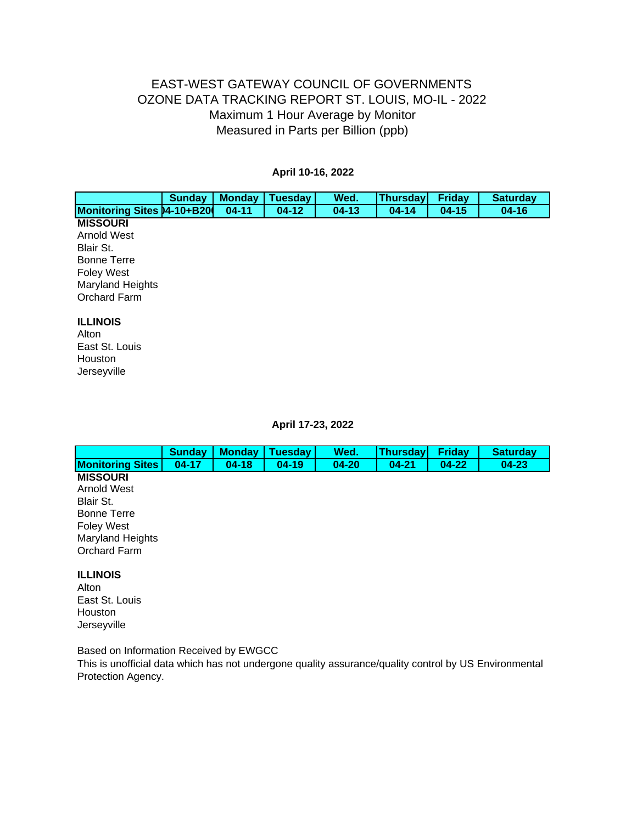#### **April 10-16, 2022**

|                                    | <b>Sunday</b> | <b>Monday</b> | <b>Tuesday</b> | Wed.    | <b>Thursday</b> | <b>Friday</b> | <b>Saturday</b> |
|------------------------------------|---------------|---------------|----------------|---------|-----------------|---------------|-----------------|
| <b>Monitoring Sites 04-10+B200</b> |               | $04 - 11$     | $04-12$        | $04-13$ | $04 - 14$       | $04 - 15$     | $04 - 16$       |
| <b>MISSOURI</b>                    |               |               |                |         |                 |               |                 |
| <b>Arnold West</b>                 |               |               |                |         |                 |               |                 |
| Blair St.                          |               |               |                |         |                 |               |                 |
| <b>Bonne Terre</b>                 |               |               |                |         |                 |               |                 |
| <b>Foley West</b>                  |               |               |                |         |                 |               |                 |
| <b>Maryland Heights</b>            |               |               |                |         |                 |               |                 |
| Orchard Farm                       |               |               |                |         |                 |               |                 |
| <b>ILLINOIS</b>                    |               |               |                |         |                 |               |                 |
| Alton                              |               |               |                |         |                 |               |                 |
| East St. Louis                     |               |               |                |         |                 |               |                 |
| Houston                            |               |               |                |         |                 |               |                 |

**April 17-23, 2022**

|                                                                                                                                                 | <b>Sunday</b> | <b>Monday</b> | <b>Tuesday</b> | Wed.      | <b>Thursday</b> | <b>Friday</b> | <b>Saturday</b> |
|-------------------------------------------------------------------------------------------------------------------------------------------------|---------------|---------------|----------------|-----------|-----------------|---------------|-----------------|
| <b>Monitoring Sites</b>                                                                                                                         | $04 - 17$     | $04 - 18$     | $04 - 19$      | $04 - 20$ | $04 - 21$       | $04 - 22$     | $04 - 23$       |
| <b>MISSOURI</b><br><b>Arnold West</b><br>Blair St.<br><b>Bonne Terre</b><br><b>Foley West</b><br><b>Maryland Heights</b><br><b>Orchard Farm</b> |               |               |                |           |                 |               |                 |
| <b>ILLINOIS</b><br>Alton<br>East St. Louis<br>Houston<br>Jerseyville                                                                            |               |               |                |           |                 |               |                 |

Based on Information Received by EWGCC

Jerseyville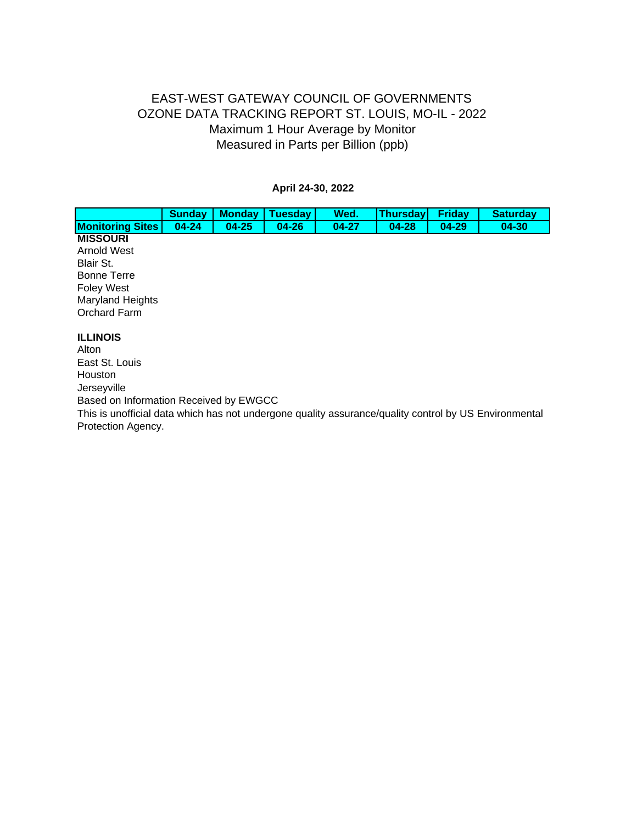#### **April 24-30, 2022**

|                                                                                                                                                                                                                                               | <b>Sunday</b> | <b>Monday</b> | <b>Tuesday</b> | Wed.      | <b>Thursday</b> | <b>Friday</b> | <b>Saturday</b> |
|-----------------------------------------------------------------------------------------------------------------------------------------------------------------------------------------------------------------------------------------------|---------------|---------------|----------------|-----------|-----------------|---------------|-----------------|
| <b>Monitoring Sites</b>                                                                                                                                                                                                                       | $04 - 24$     | $04 - 25$     | $04 - 26$      | $04 - 27$ | $04 - 28$       | $04 - 29$     | $04 - 30$       |
| <b>MISSOURI</b><br>Arnold West<br>Blair St.<br><b>Bonne Terre</b><br><b>Foley West</b><br><b>Maryland Heights</b><br>Orchard Farm                                                                                                             |               |               |                |           |                 |               |                 |
| <b>ILLINOIS</b><br>Alton<br>East St. Louis<br>Houston<br>Jerseyville<br>Based on Information Received by EWGCC<br>This is unofficial data which has not undergone quality assurance/quality control by US Environmental<br>Protection Agency. |               |               |                |           |                 |               |                 |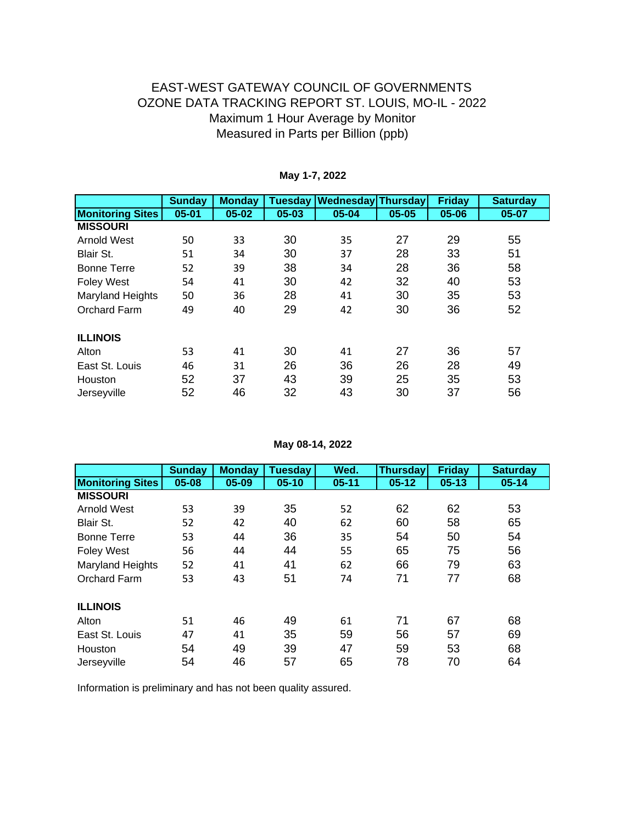|                         | <b>Sunday</b> | <b>Monday</b> | <b>Tuesday</b> | <b>Wednesday Thursday</b> |           | <b>Friday</b> | <b>Saturday</b> |
|-------------------------|---------------|---------------|----------------|---------------------------|-----------|---------------|-----------------|
| <b>Monitoring Sites</b> | $05 - 01$     | 05-02         | 05-03          | 05-04                     | $05 - 05$ | 05-06         | 05-07           |
| <b>MISSOURI</b>         |               |               |                |                           |           |               |                 |
| Arnold West             | 50            | 33            | 30             | 35                        | 27        | 29            | 55              |
| Blair St.               | 51            | 34            | 30             | 37                        | 28        | 33            | 51              |
| <b>Bonne Terre</b>      | 52            | 39            | 38             | 34                        | 28        | 36            | 58              |
| <b>Foley West</b>       | 54            | 41            | 30             | 42                        | 32        | 40            | 53              |
| <b>Maryland Heights</b> | 50            | 36            | 28             | 41                        | 30        | 35            | 53              |
| <b>Orchard Farm</b>     | 49            | 40            | 29             | 42                        | 30        | 36            | 52              |
| <b>ILLINOIS</b>         |               |               |                |                           |           |               |                 |
| Alton                   | 53            | 41            | 30             | 41                        | 27        | 36            | 57              |
| East St. Louis          | 46            | 31            | 26             | 36                        | 26        | 28            | 49              |
| Houston                 | 52            | 37            | 43             | 39                        | 25        | 35            | 53              |
| Jerseyville             | 52            | 46            | 32             | 43                        | 30        | 37            | 56              |

#### **May 1-7, 2022**

**May 08-14, 2022**

|                         | <b>Sunday</b> | <b>Monday</b> | <b>Tuesday</b> | Wed.      | <b>Thursday</b> | <b>Friday</b> | <b>Saturday</b> |
|-------------------------|---------------|---------------|----------------|-----------|-----------------|---------------|-----------------|
| <b>Monitoring Sites</b> | $05 - 08$     | $05 - 09$     | $05 - 10$      | $05 - 11$ | $05 - 12$       | $05 - 13$     | $05 - 14$       |
| <b>MISSOURI</b>         |               |               |                |           |                 |               |                 |
| <b>Arnold West</b>      | 53            | 39            | 35             | 52        | 62              | 62            | 53              |
| Blair St.               | 52            | 42            | 40             | 62        | 60              | 58            | 65              |
| <b>Bonne Terre</b>      | 53            | 44            | 36             | 35        | 54              | 50            | 54              |
| <b>Foley West</b>       | 56            | 44            | 44             | 55        | 65              | 75            | 56              |
| <b>Maryland Heights</b> | 52            | 41            | 41             | 62        | 66              | 79            | 63              |
| Orchard Farm            | 53            | 43            | 51             | 74        | 71              | 77            | 68              |
| <b>ILLINOIS</b>         |               |               |                |           |                 |               |                 |
| Alton                   | 51            | 46            | 49             | 61        | 71              | 67            | 68              |
| East St. Louis          | 47            | 41            | 35             | 59        | 56              | 57            | 69              |
| Houston                 | 54            | 49            | 39             | 47        | 59              | 53            | 68              |
| Jerseyville             | 54            | 46            | 57             | 65        | 78              | 70            | 64              |

Information is preliminary and has not been quality assured.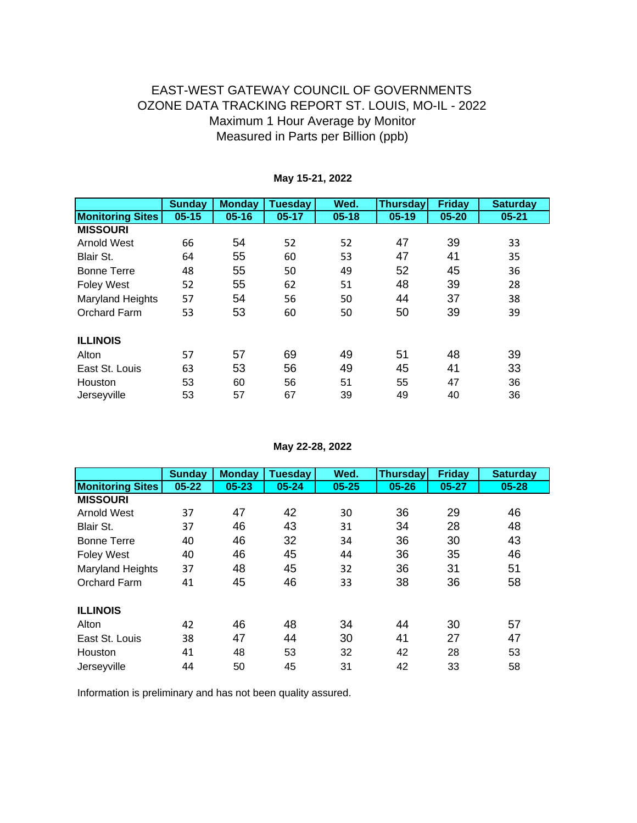|                         | <b>Sunday</b> | <b>Monday</b> | <b>Tuesday</b> | Wed.      | <b>Thursday</b> | <b>Friday</b> | <b>Saturday</b> |
|-------------------------|---------------|---------------|----------------|-----------|-----------------|---------------|-----------------|
| <b>Monitoring Sites</b> | $05 - 15$     | $05 - 16$     | $05 - 17$      | $05 - 18$ | $05 - 19$       | $05 - 20$     | $05 - 21$       |
| <b>MISSOURI</b>         |               |               |                |           |                 |               |                 |
| <b>Arnold West</b>      | 66            | 54            | 52             | 52        | 47              | 39            | 33              |
| Blair St.               | 64            | 55            | 60             | 53        | 47              | 41            | 35              |
| <b>Bonne Terre</b>      | 48            | 55            | 50             | 49        | 52              | 45            | 36              |
| <b>Foley West</b>       | 52            | 55            | 62             | 51        | 48              | 39            | 28              |
| <b>Maryland Heights</b> | 57            | 54            | 56             | 50        | 44              | 37            | 38              |
| Orchard Farm            | 53            | 53            | 60             | 50        | 50              | 39            | 39              |
| <b>ILLINOIS</b>         |               |               |                |           |                 |               |                 |
| Alton                   | 57            | 57            | 69             | 49        | 51              | 48            | 39              |
| East St. Louis          | 63            | 53            | 56             | 49        | 45              | 41            | 33              |
| Houston                 | 53            | 60            | 56             | 51        | 55              | 47            | 36              |
| Jerseyville             | 53            | 57            | 67             | 39        | 49              | 40            | 36              |

### **May 15-21, 2022**

**May 22-28, 2022**

|                         | <b>Sunday</b> | <b>Monday</b> | <b>Tuesday</b> | Wed.      | <b>Thursday</b> | <b>Friday</b> | <b>Saturday</b> |
|-------------------------|---------------|---------------|----------------|-----------|-----------------|---------------|-----------------|
| <b>Monitoring Sites</b> | $05 - 22$     | $05 - 23$     | $05 - 24$      | $05 - 25$ | $05 - 26$       | $05 - 27$     | $05 - 28$       |
| <b>MISSOURI</b>         |               |               |                |           |                 |               |                 |
| Arnold West             | 37            | 47            | 42             | 30        | 36              | 29            | 46              |
| Blair St.               | 37            | 46            | 43             | 31        | 34              | 28            | 48              |
| <b>Bonne Terre</b>      | 40            | 46            | 32             | 34        | 36              | 30            | 43              |
| <b>Foley West</b>       | 40            | 46            | 45             | 44        | 36              | 35            | 46              |
| <b>Maryland Heights</b> | 37            | 48            | 45             | 32        | 36              | 31            | 51              |
| <b>Orchard Farm</b>     | 41            | 45            | 46             | 33        | 38              | 36            | 58              |
| <b>ILLINOIS</b>         |               |               |                |           |                 |               |                 |
| Alton                   | 42            | 46            | 48             | 34        | 44              | 30            | 57              |
| East St. Louis          | 38            | 47            | 44             | 30        | 41              | 27            | 47              |
| Houston                 | 41            | 48            | 53             | 32        | 42              | 28            | 53              |
| Jerseyville             | 44            | 50            | 45             | 31        | 42              | 33            | 58              |

Information is preliminary and has not been quality assured.